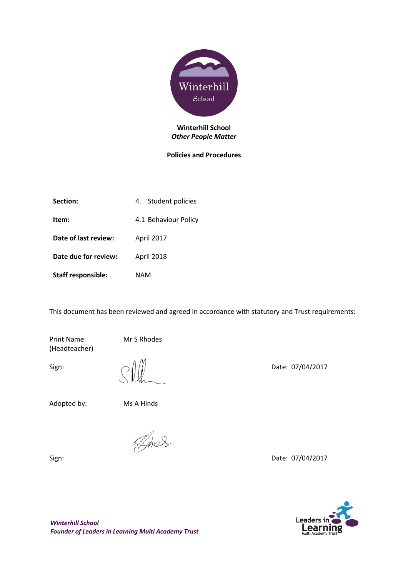

#### **Winterhill School** *Other People Matter*

#### **Policies and Procedures**

| Section:                  | 4. Student policies  |
|---------------------------|----------------------|
| Item:                     | 4.1 Behaviour Policy |
| Date of last review:      | <b>April 2017</b>    |
| Date due for review:      | <b>April 2018</b>    |
| <b>Staff responsible:</b> | NAM                  |

This document has been reviewed and agreed in accordance with statutory and Trust requirements:

Print Name: Mr S Rhodes (Headteacher)

Adopted by: Ms A Hinds

Anos.

Sign: Date: 07/04/2017

Sign:  $||||$  Date: 07/04/2017

Leaders in Learnin

*Winterhill School Founder of Leaders in Learning Multi Academy Trust*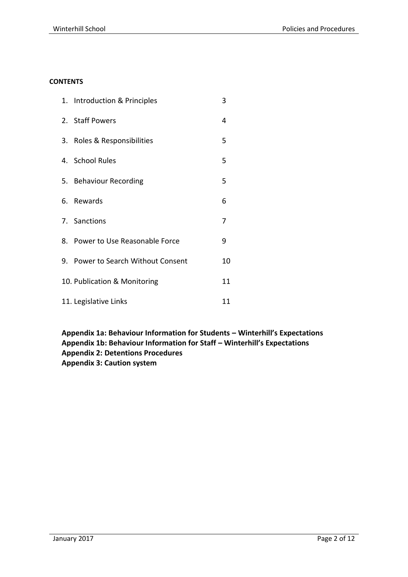#### **CONTENTS**

| 1. Introduction & Principles       | 3  |
|------------------------------------|----|
| 2. Staff Powers                    | 4  |
| 3. Roles & Responsibilities        | 5  |
| 4. School Rules                    | 5  |
| 5. Behaviour Recording             | 5  |
| 6. Rewards                         | 6  |
| 7. Sanctions                       | 7  |
| 8. Power to Use Reasonable Force   | 9  |
| 9. Power to Search Without Consent | 10 |
| 10. Publication & Monitoring       | 11 |
| 11. Legislative Links              | 11 |

**Appendix 1a: Behaviour Information for Students – Winterhill's Expectations Appendix 1b: Behaviour Information for Staff – Winterhill's Expectations Appendix 2: Detentions Procedures Appendix 3: Caution system**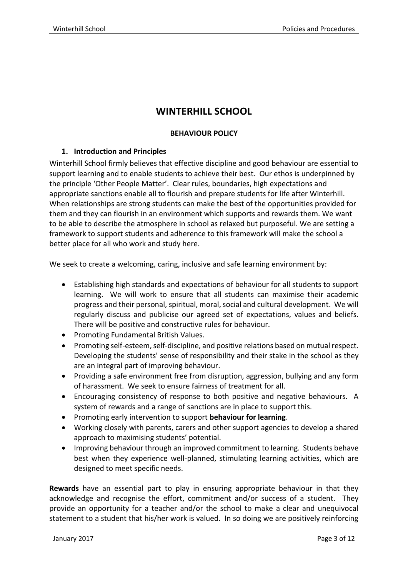# **WINTERHILL SCHOOL**

# **BEHAVIOUR POLICY**

# **1. Introduction and Principles**

Winterhill School firmly believes that effective discipline and good behaviour are essential to support learning and to enable students to achieve their best. Our ethos is underpinned by the principle 'Other People Matter'. Clear rules, boundaries, high expectations and appropriate sanctions enable all to flourish and prepare students for life after Winterhill. When relationships are strong students can make the best of the opportunities provided for them and they can flourish in an environment which supports and rewards them. We want to be able to describe the atmosphere in school as relaxed but purposeful. We are setting a framework to support students and adherence to this framework will make the school a better place for all who work and study here.

We seek to create a welcoming, caring, inclusive and safe learning environment by:

- Establishing high standards and expectations of behaviour for all students to support learning. We will work to ensure that all students can maximise their academic progress and their personal, spiritual, moral, social and cultural development. We will regularly discuss and publicise our agreed set of expectations, values and beliefs. There will be positive and constructive rules for behaviour.
- Promoting Fundamental British Values.
- Promoting self-esteem, self-discipline, and positive relations based on mutual respect. Developing the students' sense of responsibility and their stake in the school as they are an integral part of improving behaviour.
- Providing a safe environment free from disruption, aggression, bullying and any form of harassment. We seek to ensure fairness of treatment for all.
- Encouraging consistency of response to both positive and negative behaviours. A system of rewards and a range of sanctions are in place to support this.
- Promoting early intervention to support **behaviour for learning**.
- Working closely with parents, carers and other support agencies to develop a shared approach to maximising students' potential.
- Improving behaviour through an improved commitment to learning. Students behave best when they experience well-planned, stimulating learning activities, which are designed to meet specific needs.

**Rewards** have an essential part to play in ensuring appropriate behaviour in that they acknowledge and recognise the effort, commitment and/or success of a student. They provide an opportunity for a teacher and/or the school to make a clear and unequivocal statement to a student that his/her work is valued. In so doing we are positively reinforcing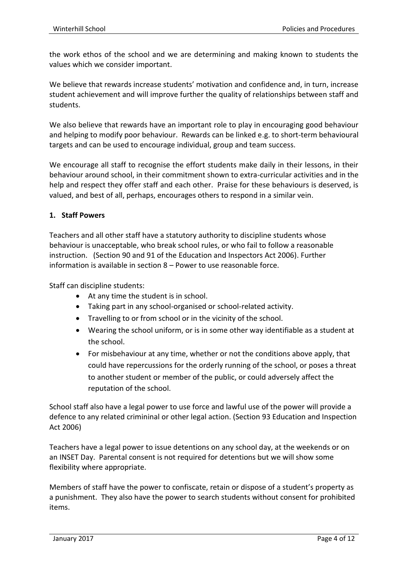the work ethos of the school and we are determining and making known to students the values which we consider important.

We believe that rewards increase students' motivation and confidence and, in turn, increase student achievement and will improve further the quality of relationships between staff and students.

We also believe that rewards have an important role to play in encouraging good behaviour and helping to modify poor behaviour. Rewards can be linked e.g. to short-term behavioural targets and can be used to encourage individual, group and team success.

We encourage all staff to recognise the effort students make daily in their lessons, in their behaviour around school, in their commitment shown to extra-curricular activities and in the help and respect they offer staff and each other. Praise for these behaviours is deserved, is valued, and best of all, perhaps, encourages others to respond in a similar vein.

#### **1. Staff Powers**

Teachers and all other staff have a statutory authority to discipline students whose behaviour is unacceptable, who break school rules, or who fail to follow a reasonable instruction. (Section 90 and 91 of the Education and Inspectors Act 2006). Further information is available in section 8 – Power to use reasonable force.

Staff can discipline students:

- At any time the student is in school.
- Taking part in any school-organised or school-related activity.
- Travelling to or from school or in the vicinity of the school.
- Wearing the school uniform, or is in some other way identifiable as a student at the school.
- For misbehaviour at any time, whether or not the conditions above apply, that could have repercussions for the orderly running of the school, or poses a threat to another student or member of the public, or could adversely affect the reputation of the school.

School staff also have a legal power to use force and lawful use of the power will provide a defence to any related crimininal or other legal action. (Section 93 Education and Inspection Act 2006)

Teachers have a legal power to issue detentions on any school day, at the weekends or on an INSET Day. Parental consent is not required for detentions but we will show some flexibility where appropriate.

Members of staff have the power to confiscate, retain or dispose of a student's property as a punishment. They also have the power to search students without consent for prohibited items.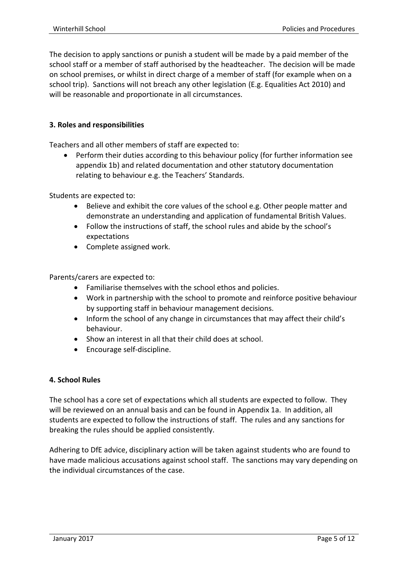The decision to apply sanctions or punish a student will be made by a paid member of the school staff or a member of staff authorised by the headteacher. The decision will be made on school premises, or whilst in direct charge of a member of staff (for example when on a school trip). Sanctions will not breach any other legislation (E.g. Equalities Act 2010) and will be reasonable and proportionate in all circumstances.

# **3. Roles and responsibilities**

Teachers and all other members of staff are expected to:

 Perform their duties according to this behaviour policy (for further information see appendix 1b) and related documentation and other statutory documentation relating to behaviour e.g. the Teachers' Standards.

Students are expected to:

- Believe and exhibit the core values of the school e.g. Other people matter and demonstrate an understanding and application of fundamental British Values.
- Follow the instructions of staff, the school rules and abide by the school's expectations
- Complete assigned work.

Parents/carers are expected to:

- Familiarise themselves with the school ethos and policies.
- Work in partnership with the school to promote and reinforce positive behaviour by supporting staff in behaviour management decisions.
- Inform the school of any change in circumstances that may affect their child's behaviour.
- Show an interest in all that their child does at school.
- Encourage self-discipline.

# **4. School Rules**

The school has a core set of expectations which all students are expected to follow. They will be reviewed on an annual basis and can be found in Appendix 1a. In addition, all students are expected to follow the instructions of staff. The rules and any sanctions for breaking the rules should be applied consistently.

Adhering to DfE advice, disciplinary action will be taken against students who are found to have made malicious accusations against school staff. The sanctions may vary depending on the individual circumstances of the case.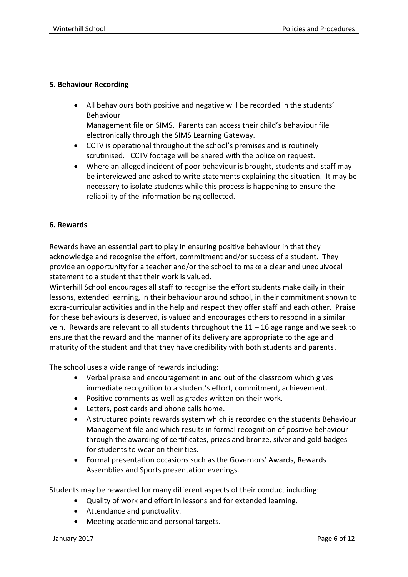# **5. Behaviour Recording**

 All behaviours both positive and negative will be recorded in the students' Behaviour

Management file on SIMS. Parents can access their child's behaviour file electronically through the SIMS Learning Gateway.

- CCTV is operational throughout the school's premises and is routinely scrutinised. CCTV footage will be shared with the police on request.
- Where an alleged incident of poor behaviour is brought, students and staff may be interviewed and asked to write statements explaining the situation. It may be necessary to isolate students while this process is happening to ensure the reliability of the information being collected.

# **6. Rewards**

Rewards have an essential part to play in ensuring positive behaviour in that they acknowledge and recognise the effort, commitment and/or success of a student. They provide an opportunity for a teacher and/or the school to make a clear and unequivocal statement to a student that their work is valued.

Winterhill School encourages all staff to recognise the effort students make daily in their lessons, extended learning, in their behaviour around school, in their commitment shown to extra-curricular activities and in the help and respect they offer staff and each other. Praise for these behaviours is deserved, is valued and encourages others to respond in a similar vein. Rewards are relevant to all students throughout the 11 – 16 age range and we seek to ensure that the reward and the manner of its delivery are appropriate to the age and maturity of the student and that they have credibility with both students and parents.

The school uses a wide range of rewards including:

- Verbal praise and encouragement in and out of the classroom which gives immediate recognition to a student's effort, commitment, achievement.
- Positive comments as well as grades written on their work.
- Letters, post cards and phone calls home.
- A structured points rewards system which is recorded on the students Behaviour Management file and which results in formal recognition of positive behaviour through the awarding of certificates, prizes and bronze, silver and gold badges for students to wear on their ties.
- Formal presentation occasions such as the Governors' Awards, Rewards Assemblies and Sports presentation evenings.

Students may be rewarded for many different aspects of their conduct including:

- Quality of work and effort in lessons and for extended learning.
- Attendance and punctuality.
- Meeting academic and personal targets.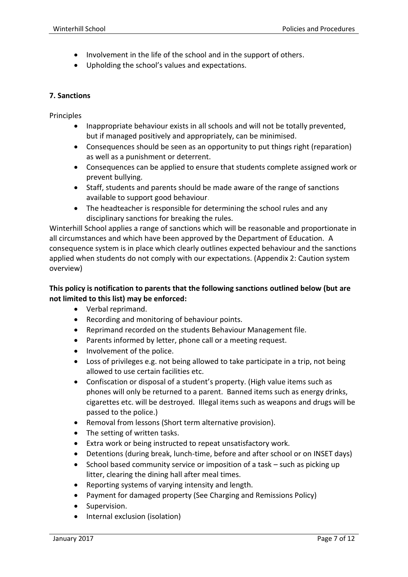- Involvement in the life of the school and in the support of others.
- Upholding the school's values and expectations.

#### **7. Sanctions**

Principles

- Inappropriate behaviour exists in all schools and will not be totally prevented, but if managed positively and appropriately, can be minimised.
- Consequences should be seen as an opportunity to put things right (reparation) as well as a punishment or deterrent.
- Consequences can be applied to ensure that students complete assigned work or prevent bullying.
- Staff, students and parents should be made aware of the range of sanctions available to support good behaviour.
- The headteacher is responsible for determining the school rules and any disciplinary sanctions for breaking the rules.

Winterhill School applies a range of sanctions which will be reasonable and proportionate in all circumstances and which have been approved by the Department of Education. A consequence system is in place which clearly outlines expected behaviour and the sanctions applied when students do not comply with our expectations. (Appendix 2: Caution system overview)

# **This policy is notification to parents that the following sanctions outlined below (but are not limited to this list) may be enforced:**

- Verbal reprimand.
- Recording and monitoring of behaviour points.
- Reprimand recorded on the students Behaviour Management file.
- Parents informed by letter, phone call or a meeting request.
- Involvement of the police.
- Loss of privileges e.g. not being allowed to take participate in a trip, not being allowed to use certain facilities etc.
- Confiscation or disposal of a student's property. (High value items such as phones will only be returned to a parent. Banned items such as energy drinks, cigarettes etc. will be destroyed. Illegal items such as weapons and drugs will be passed to the police.)
- Removal from lessons (Short term alternative provision).
- The setting of written tasks.
- Extra work or being instructed to repeat unsatisfactory work.
- Detentions (during break, lunch-time, before and after school or on INSET days)
- School based community service or imposition of a task such as picking up litter, clearing the dining hall after meal times.
- Reporting systems of varying intensity and length.
- Payment for damaged property (See Charging and Remissions Policy)
- Supervision.
- Internal exclusion (isolation)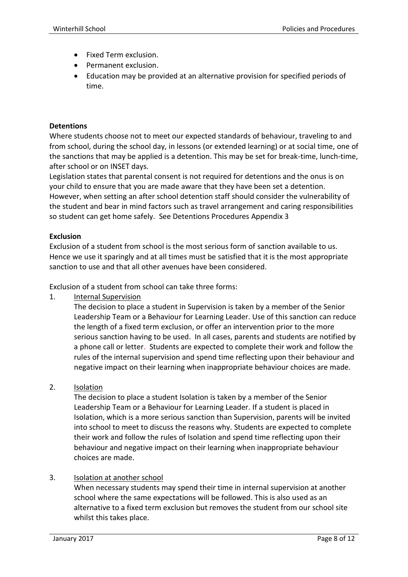- Fixed Term exclusion.
- Permanent exclusion.
- Education may be provided at an alternative provision for specified periods of time.

#### **Detentions**

Where students choose not to meet our expected standards of behaviour, traveling to and from school, during the school day, in lessons (or extended learning) or at social time, one of the sanctions that may be applied is a detention. This may be set for break-time, lunch-time, after school or on INSET days.

Legislation states that parental consent is not required for detentions and the onus is on your child to ensure that you are made aware that they have been set a detention. However, when setting an after school detention staff should consider the vulnerability of the student and bear in mind factors such as travel arrangement and caring responsibilities so student can get home safely. See Detentions Procedures Appendix 3

#### **Exclusion**

Exclusion of a student from school is the most serious form of sanction available to us. Hence we use it sparingly and at all times must be satisfied that it is the most appropriate sanction to use and that all other avenues have been considered.

Exclusion of a student from school can take three forms:

1. Internal Supervision

The decision to place a student in Supervision is taken by a member of the Senior Leadership Team or a Behaviour for Learning Leader. Use of this sanction can reduce the length of a fixed term exclusion, or offer an intervention prior to the more serious sanction having to be used. In all cases, parents and students are notified by a phone call or letter. Students are expected to complete their work and follow the rules of the internal supervision and spend time reflecting upon their behaviour and negative impact on their learning when inappropriate behaviour choices are made.

2. Isolation

The decision to place a student Isolation is taken by a member of the Senior Leadership Team or a Behaviour for Learning Leader. If a student is placed in Isolation, which is a more serious sanction than Supervision, parents will be invited into school to meet to discuss the reasons why. Students are expected to complete their work and follow the rules of Isolation and spend time reflecting upon their behaviour and negative impact on their learning when inappropriate behaviour choices are made.

# 3. Isolation at another school

When necessary students may spend their time in internal supervision at another school where the same expectations will be followed. This is also used as an alternative to a fixed term exclusion but removes the student from our school site whilst this takes place.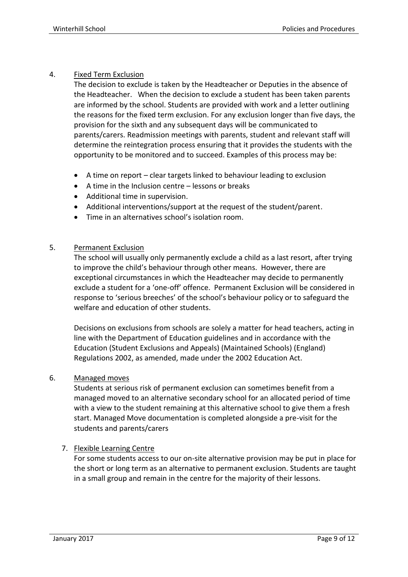# 4. Fixed Term Exclusion

The decision to exclude is taken by the Headteacher or Deputies in the absence of the Headteacher. When the decision to exclude a student has been taken parents are informed by the school. Students are provided with work and a letter outlining the reasons for the fixed term exclusion. For any exclusion longer than five days, the provision for the sixth and any subsequent days will be communicated to parents/carers. Readmission meetings with parents, student and relevant staff will determine the reintegration process ensuring that it provides the students with the opportunity to be monitored and to succeed. Examples of this process may be:

- A time on report clear targets linked to behaviour leading to exclusion
- A time in the Inclusion centre lessons or breaks
- Additional time in supervision.
- Additional interventions/support at the request of the student/parent.
- Time in an alternatives school's isolation room.

# 5. Permanent Exclusion

The school will usually only permanently exclude a child as a last resort, after trying to improve the child's behaviour through other means. However, there are exceptional circumstances in which the Headteacher may decide to permanently exclude a student for a 'one-off' offence. Permanent Exclusion will be considered in response to 'serious breeches' of the school's behaviour policy or to safeguard the welfare and education of other students.

Decisions on exclusions from schools are solely a matter for head teachers, acting in line with the Department of Education guidelines and in accordance with the Education (Student Exclusions and Appeals) (Maintained Schools) (England) Regulations 2002, as amended, made under the 2002 Education Act.

# 6. Managed moves

Students at serious risk of permanent exclusion can sometimes benefit from a managed moved to an alternative secondary school for an allocated period of time with a view to the student remaining at this alternative school to give them a fresh start. Managed Move documentation is completed alongside a pre-visit for the students and parents/carers

# 7. Flexible Learning Centre

For some students access to our on-site alternative provision may be put in place for the short or long term as an alternative to permanent exclusion. Students are taught in a small group and remain in the centre for the majority of their lessons.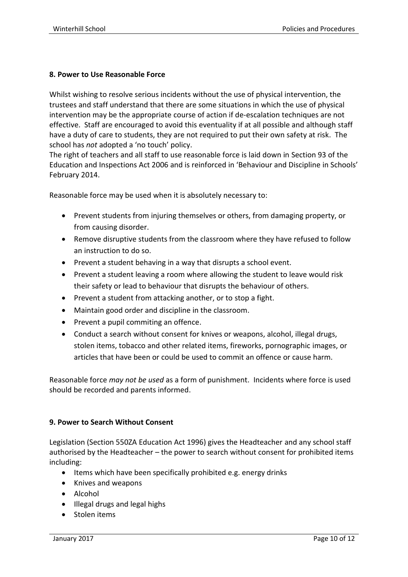# **8. Power to Use Reasonable Force**

Whilst wishing to resolve serious incidents without the use of physical intervention, the trustees and staff understand that there are some situations in which the use of physical intervention may be the appropriate course of action if de-escalation techniques are not effective. Staff are encouraged to avoid this eventuality if at all possible and although staff have a duty of care to students, they are not required to put their own safety at risk. The school has *not* adopted a 'no touch' policy.

The right of teachers and all staff to use reasonable force is laid down in Section 93 of the Education and Inspections Act 2006 and is reinforced in 'Behaviour and Discipline in Schools' February 2014.

Reasonable force may be used when it is absolutely necessary to:

- Prevent students from injuring themselves or others, from damaging property, or from causing disorder.
- Remove disruptive students from the classroom where they have refused to follow an instruction to do so.
- Prevent a student behaving in a way that disrupts a school event.
- Prevent a student leaving a room where allowing the student to leave would risk their safety or lead to behaviour that disrupts the behaviour of others.
- Prevent a student from attacking another, or to stop a fight.
- Maintain good order and discipline in the classroom.
- Prevent a pupil commiting an offence.
- Conduct a search without consent for knives or weapons, alcohol, illegal drugs, stolen items, tobacco and other related items, fireworks, pornographic images, or articles that have been or could be used to commit an offence or cause harm.

Reasonable force *may not be used* as a form of punishment. Incidents where force is used should be recorded and parents informed.

# **9. Power to Search Without Consent**

Legislation (Section 550ZA Education Act 1996) gives the Headteacher and any school staff authorised by the Headteacher – the power to search without consent for prohibited items including:

- Items which have been specifically prohibited e.g. energy drinks
- Knives and weapons
- Alcohol
- Illegal drugs and legal highs
- Stolen items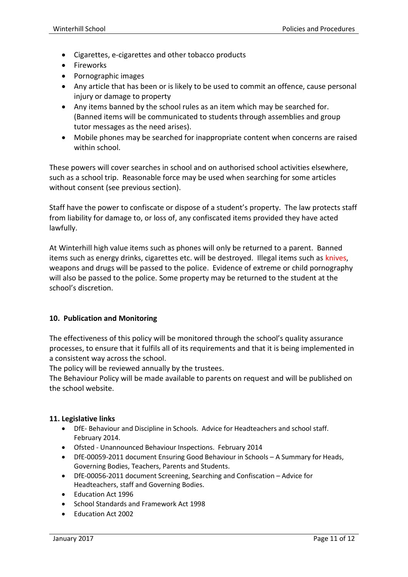- Cigarettes, e-cigarettes and other tobacco products
- Fireworks
- Pornographic images
- Any article that has been or is likely to be used to commit an offence, cause personal injury or damage to property
- Any items banned by the school rules as an item which may be searched for. (Banned items will be communicated to students through assemblies and group tutor messages as the need arises).
- Mobile phones may be searched for inappropriate content when concerns are raised within school

These powers will cover searches in school and on authorised school activities elsewhere, such as a school trip. Reasonable force may be used when searching for some articles without consent (see previous section).

Staff have the power to confiscate or dispose of a student's property. The law protects staff from liability for damage to, or loss of, any confiscated items provided they have acted lawfully.

At Winterhill high value items such as phones will only be returned to a parent. Banned items such as energy drinks, cigarettes etc. will be destroyed. Illegal items such as knives, weapons and drugs will be passed to the police. Evidence of extreme or child pornography will also be passed to the police. Some property may be returned to the student at the school's discretion.

# **10. Publication and Monitoring**

The effectiveness of this policy will be monitored through the school's quality assurance processes, to ensure that it fulfils all of its requirements and that it is being implemented in a consistent way across the school.

The policy will be reviewed annually by the trustees.

The Behaviour Policy will be made available to parents on request and will be published on the school website.

# **11. Legislative links**

- DfE- Behaviour and Discipline in Schools. Advice for Headteachers and school staff. February 2014.
- Ofsted Unannounced Behaviour Inspections. February 2014
- DfE-00059-2011 document Ensuring Good Behaviour in Schools A Summary for Heads, Governing Bodies, Teachers, Parents and Students.
- DfE-00056-2011 document Screening, Searching and Confiscation Advice for Headteachers, staff and Governing Bodies.
- Fducation Act 1996
- School Standards and Framework Act 1998
- Education Act 2002